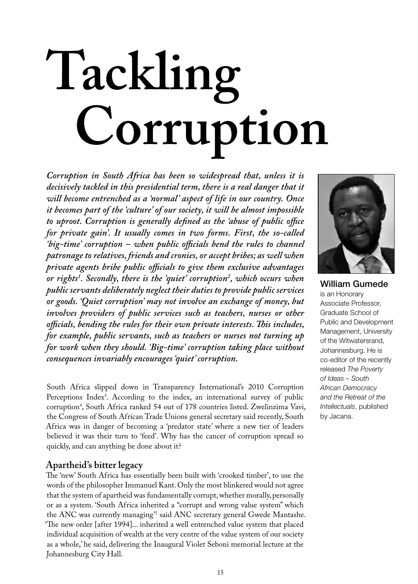# **Tackling Corruption**

*Corruption in South Africa has been so widespread that, unless it is decisively tackled in this presidential term, there is a real danger that it will become entrenched as a 'normal' aspect of life in our country. Once it becomes part of the 'culture' of our society, it will be almost impossible to uproot. Corruption is generally defined as the 'abuse of public office for private gain'. It usually comes in two forms. First, the so-called 'big-time' corruption – when public officials bend the rules to channel patronage to relatives, friends and cronies, or accept bribes; as well when private agents bribe public officials to give them exclusive advantages or rights1 . Secondly, there is the 'quiet' corruption2 , which occurs when public servants deliberately neglect their duties to provide public services or goods. 'Quiet corruption' may not involve an exchange of money, but involves providers of public services such as teachers, nurses or other officials, bending the rules for their own private interests. This includes, for example, public servants, such as teachers or nurses not turning up for work when they should. 'Big-time' corruption taking place without consequences invariably encourages 'quiet' corruption.* 

South Africa slipped down in Transparency International's 2010 Corruption Perceptions Index<sup>3</sup>. According to the index, an international survey of public corruption<sup>4</sup>, South Africa ranked 54 out of 178 countries listed. Zwelinzima Vavi, the Congress of South African Trade Unions general secretary said recently, South Africa was in danger of becoming a 'predator state' where a new tier of leaders believed it was their turn to 'feed'. Why has the cancer of corruption spread so quickly, and can anything be done about it?

# **Apartheid's bitter legacy**

The 'new' South Africa has essentially been built with 'crooked timber', to use the words of the philosopher Immanuel Kant. Only the most blinkered would not agree that the system of apartheid was fundamentally corrupt, whether morally, personally or as a system. 'South Africa inherited a "corrupt and wrong value system" which the ANC was currently managing<sup>35</sup> said ANC secretary general Gwede Mantashe. 'The new order [after 1994]... inherited a well entrenched value system that placed individual acquisition of wealth at the very centre of the value system of our society as a whole,' he said, delivering the Inaugural Violet Seboni memorial lecture at the Johannesburg City Hall.



William Gumede is an Honorary Associate Professor, Graduate School of Public and Development Management, University of the Witwatersrand, Johannesburg. He is co-editor of the recently released *The Poverty of Ideas – South African Democracy and the Retreat of the Intellectuals*, published by Jacana.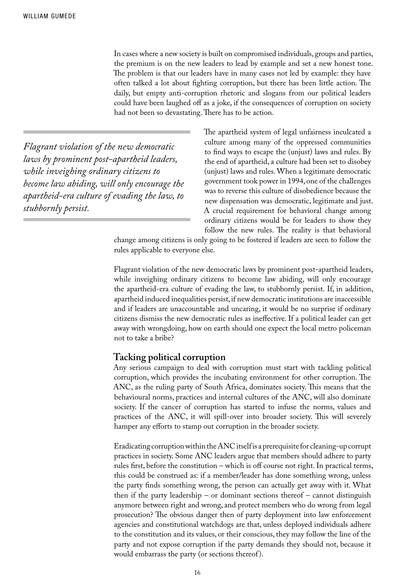In cases where a new society is built on compromised individuals, groups and parties, the premium is on the new leaders to lead by example and set a new honest tone. The problem is that our leaders have in many cases not led by example: they have often talked a lot about fighting corruption, but there has been little action. The daily, but empty anti-corruption rhetoric and slogans from our political leaders could have been laughed off as a joke, if the consequences of corruption on society had not been so devastating. There has to be action.

*Flagrant violation of the new democratic laws by prominent post-apartheid leaders, while inveighing ordinary citizens to become law abiding, will only encourage the apartheid-era culture of evading the law, to stubbornly persist.* 

The apartheid system of legal unfairness inculcated a culture among many of the oppressed communities to find ways to escape the (unjust) laws and rules. By the end of apartheid, a culture had been set to disobey (unjust) laws and rules. When a legitimate democratic government took power in 1994, one of the challenges was to reverse this culture of disobedience because the new dispensation was democratic, legitimate and just. A crucial requirement for behavioral change among ordinary citizens would be for leaders to show they follow the new rules. The reality is that behavioral

change among citizens is only going to be fostered if leaders are seen to follow the rules applicable to everyone else.

Flagrant violation of the new democratic laws by prominent post-apartheid leaders, while inveighing ordinary citizens to become law abiding, will only encourage the apartheid-era culture of evading the law, to stubbornly persist. If, in addition, apartheid induced inequalities persist, if new democratic institutions are inaccessible and if leaders are unaccountable and uncaring, it would be no surprise if ordinary citizens dismiss the new democratic rules as ineffective. If a political leader can get away with wrongdoing, how on earth should one expect the local metro policeman not to take a bribe?

## **Tacking political corruption**

Any serious campaign to deal with corruption must start with tackling political corruption, which provides the incubating environment for other corruption. The ANC, as the ruling party of South Africa, dominates society. This means that the behavioural norms, practices and internal cultures of the ANC, will also dominate society. If the cancer of corruption has started to infuse the norms, values and practices of the ANC, it will spill-over into broader society. This will severely hamper any efforts to stamp out corruption in the broader society.

Eradicating corruption within the ANC itself is a prerequisite for cleaning-up corrupt practices in society. Some ANC leaders argue that members should adhere to party rules first, before the constitution – which is off course not right. In practical terms, this could be construed as: if a member/leader has done something wrong, unless the party finds something wrong, the person can actually get away with it. What then if the party leadership – or dominant sections thereof – cannot distinguish anymore between right and wrong, and protect members who do wrong from legal prosecution? The obvious danger then of party deployment into law enforcement agencies and constitutional watchdogs are that, unless deployed individuals adhere to the constitution and its values, or their conscious, they may follow the line of the party and not expose corruption if the party demands they should not, because it would embarrass the party (or sections thereof).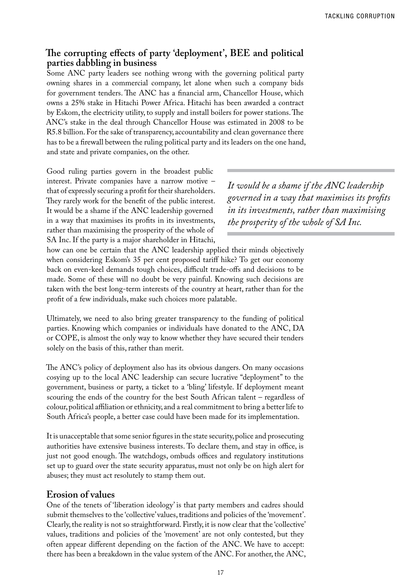# **The corrupting effects of party 'deployment', BEE and political parties dabbling in business**

Some ANC party leaders see nothing wrong with the governing political party owning shares in a commercial company, let alone when such a company bids for government tenders. The ANC has a financial arm, Chancellor House, which owns a 25% stake in Hitachi Power Africa. Hitachi has been awarded a contract by Eskom, the electricity utility, to supply and install boilers for power stations. The ANC's stake in the deal through Chancellor House was estimated in 2008 to be R5.8 billion. For the sake of transparency, accountability and clean governance there has to be a firewall between the ruling political party and its leaders on the one hand, and state and private companies, on the other.

Good ruling parties govern in the broadest public interest. Private companies have a narrow motive – that of expressly securing a profit for their shareholders. They rarely work for the benefit of the public interest. It would be a shame if the ANC leadership governed in a way that maximises its profits in its investments, rather than maximising the prosperity of the whole of SA Inc. If the party is a major shareholder in Hitachi,

*It would be a shame if the ANC leadership governed in a way that maximises its profits in its investments, rather than maximising the prosperity of the whole of SA Inc.*

how can one be certain that the ANC leadership applied their minds objectively when considering Eskom's 35 per cent proposed tariff hike? To get our economy back on even-keel demands tough choices, difficult trade-offs and decisions to be made. Some of these will no doubt be very painful. Knowing such decisions are taken with the best long-term interests of the country at heart, rather than for the profit of a few individuals, make such choices more palatable.

Ultimately, we need to also bring greater transparency to the funding of political parties. Knowing which companies or individuals have donated to the ANC, DA or COPE, is almost the only way to know whether they have secured their tenders solely on the basis of this, rather than merit.

The ANC's policy of deployment also has its obvious dangers. On many occasions cosying up to the local ANC leadership can secure lucrative "deployment" to the government, business or party, a ticket to a 'bling' lifestyle. If deployment meant scouring the ends of the country for the best South African talent – regardless of colour, political affiliation or ethnicity, and a real commitment to bring a better life to South Africa's people, a better case could have been made for its implementation.

It is unacceptable that some senior figures in the state security, police and prosecuting authorities have extensive business interests. To declare them, and stay in office, is just not good enough. The watchdogs, ombuds offices and regulatory institutions set up to guard over the state security apparatus, must not only be on high alert for abuses; they must act resolutely to stamp them out.

# **Erosion of values**

One of the tenets of 'liberation ideology' is that party members and cadres should submit themselves to the 'collective' values, traditions and policies of the 'movement'. Clearly, the reality is not so straightforward. Firstly, it is now clear that the 'collective' values, traditions and policies of the 'movement' are not only contested, but they often appear different depending on the faction of the ANC. We have to accept: there has been a breakdown in the value system of the ANC. For another, the ANC,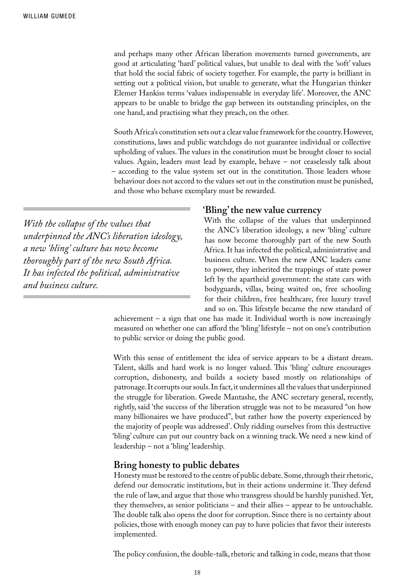and perhaps many other African liberation movements turned governments, are good at articulating 'hard' political values, but unable to deal with the 'soft' values that hold the social fabric of society together. For example, the party is brilliant in setting out a political vision, but unable to generate, what the Hungarian thinker Elemer Hankiss terms 'values indispensable in everyday life'. Moreover, the ANC appears to be unable to bridge the gap between its outstanding principles, on the one hand, and practising what they preach, on the other.

South Africa's constitution sets out a clear value framework for the country. However, constitutions, laws and public watchdogs do not guarantee individual or collective upholding of values. The values in the constitution must be brought closer to social values. Again, leaders must lead by example, behave – not ceaselessly talk about – according to the value system set out in the constitution. Those leaders whose behaviour does not accord to the values set out in the constitution must be punished, and those who behave exemplary must be rewarded.

*With the collapse of the values that underpinned the ANC's liberation ideology, a new 'bling' culture has now become thoroughly part of the new South Africa. It has infected the political, administrative and business culture.* 

#### **'Bling' the new value currency**

With the collapse of the values that underpinned the ANC's liberation ideology, a new 'bling' culture has now become thoroughly part of the new South Africa. It has infected the political, administrative and business culture. When the new ANC leaders came to power, they inherited the trappings of state power left by the apartheid government: the state cars with bodyguards, villas, being waited on, free schooling for their children, free healthcare, free luxury travel and so on. This lifestyle became the new standard of

achievement – a sign that one has made it. Individual worth is now increasingly measured on whether one can afford the 'bling' lifestyle – not on one's contribution to public service or doing the public good.

With this sense of entitlement the idea of service appears to be a distant dream. Talent, skills and hard work is no longer valued. This 'bling' culture encourages corruption, dishonesty, and builds a society based mostly on relationships of patronage. It corrupts our souls. In fact, it undermines all the values that underpinned the struggle for liberation. Gwede Mantashe, the ANC secretary general, recently, rightly, said 'the success of the liberation struggle was not to be measured "on how many billionaires we have produced", but rather how the poverty experienced by the majority of people was addressed'. Only ridding ourselves from this destructive 'bling' culture can put our country back on a winning track. We need a new kind of leadership – not a 'bling' leadership.

## **Bring honesty to public debates**

Honesty must be restored to the centre of public debate. Some, through their rhetoric, defend our democratic institutions, but in their actions undermine it. They defend the rule of law, and argue that those who transgress should be harshly punished. Yet, they themselves, as senior politicians – and their allies – appear to be untouchable. The double talk also opens the door for corruption. Since there is no certainty about policies, those with enough money can pay to have policies that favor their interests implemented.

The policy confusion, the double-talk, rhetoric and talking in code, means that those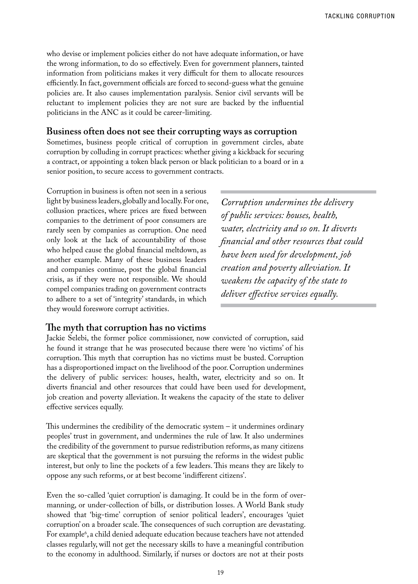who devise or implement policies either do not have adequate information, or have the wrong information, to do so effectively. Even for government planners, tainted information from politicians makes it very difficult for them to allocate resources efficiently. In fact, government officials are forced to second-guess what the genuine policies are. It also causes implementation paralysis. Senior civil servants will be reluctant to implement policies they are not sure are backed by the influential politicians in the ANC as it could be career-limiting.

## **Business often does not see their corrupting ways as corruption**

Sometimes, business people critical of corruption in government circles, abate corruption by colluding in corrupt practices: whether giving a kickback for securing a contract, or appointing a token black person or black politician to a board or in a senior position, to secure access to government contracts.

Corruption in business is often not seen in a serious light by business leaders, globally and locally. For one, collusion practices, where prices are fixed between companies to the detriment of poor consumers are rarely seen by companies as corruption. One need only look at the lack of accountability of those who helped cause the global financial meltdown, as another example. Many of these business leaders and companies continue, post the global financial crisis, as if they were not responsible. We should compel companies trading on government contracts to adhere to a set of 'integrity' standards, in which they would foreswore corrupt activities.

*Corruption undermines the delivery of public services: houses, health, water, electricity and so on. It diverts financial and other resources that could have been used for development, job creation and poverty alleviation. It weakens the capacity of the state to deliver effective services equally.*

### **The myth that corruption has no victims**

Jackie Selebi, the former police commissioner, now convicted of corruption, said he found it strange that he was prosecuted because there were 'no victims' of his corruption. This myth that corruption has no victims must be busted. Corruption has a disproportioned impact on the livelihood of the poor. Corruption undermines the delivery of public services: houses, health, water, electricity and so on. It diverts financial and other resources that could have been used for development, job creation and poverty alleviation. It weakens the capacity of the state to deliver effective services equally.

This undermines the credibility of the democratic system – it undermines ordinary peoples' trust in government, and undermines the rule of law. It also undermines the credibility of the government to pursue redistribution reforms, as many citizens are skeptical that the government is not pursuing the reforms in the widest public interest, but only to line the pockets of a few leaders. This means they are likely to oppose any such reforms, or at best become 'indifferent citizens'.

Even the so-called 'quiet corruption' is damaging. It could be in the form of overmanning, or under-collection of bills, or distribution losses. A World Bank study showed that 'big-time' corruption of senior political leaders', encourages 'quiet corruption' on a broader scale. The consequences of such corruption are devastating. For example6 , a child denied adequate education because teachers have not attended classes regularly, will not get the necessary skills to have a meaningful contribution to the economy in adulthood. Similarly, if nurses or doctors are not at their posts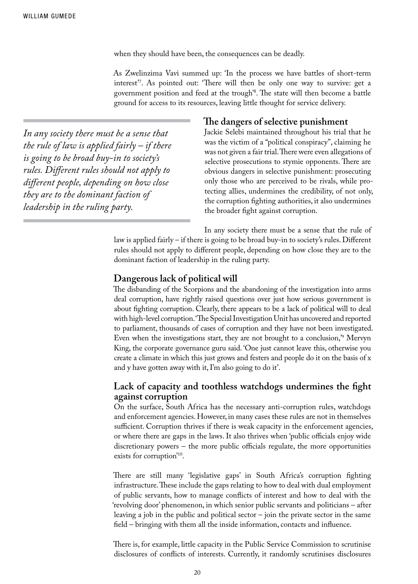when they should have been, the consequences can be deadly.

As Zwelinzima Vavi summed up: 'In the process we have battles of short-term interest'7 . As pointed out: 'There will then be only one way to survive: get a government position and feed at the trough'8 . The state will then become a battle ground for access to its resources, leaving little thought for service delivery.

*In any society there must be a sense that the rule of law is applied fairly – if there is going to be broad buy-in to society's rules. Different rules should not apply to different people, depending on how close they are to the dominant faction of leadership in the ruling party.* 

## **The dangers of selective punishment**

Jackie Selebi maintained throughout his trial that he was the victim of a "political conspiracy", claiming he was not given a fair trial. There were even allegations of selective prosecutions to stymie opponents. There are obvious dangers in selective punishment: prosecuting only those who are perceived to be rivals, while protecting allies, undermines the credibility, of not only, the corruption fighting authorities, it also undermines the broader fight against corruption.

In any society there must be a sense that the rule of law is applied fairly – if there is going to be broad buy-in to society's rules. Different rules should not apply to different people, depending on how close they are to the dominant faction of leadership in the ruling party.

## **Dangerous lack of political will**

The disbanding of the Scorpions and the abandoning of the investigation into arms deal corruption, have rightly raised questions over just how serious government is about fighting corruption. Clearly, there appears to be a lack of political will to deal with high-level corruption. 'The Special Investigation Unit has uncovered and reported to parliament, thousands of cases of corruption and they have not been investigated. Even when the investigations start, they are not brought to a conclusion,'9 Mervyn King, the corporate governance guru said. 'One just cannot leave this, otherwise you create a climate in which this just grows and festers and people do it on the basis of x and y have gotten away with it, I'm also going to do it'.

## **Lack of capacity and toothless watchdogs undermines the fight against corruption**

On the surface, South Africa has the necessary anti-corruption rules, watchdogs and enforcement agencies. However, in many cases these rules are not in themselves sufficient. Corruption thrives if there is weak capacity in the enforcement agencies, or where there are gaps in the laws. It also thrives when 'public officials enjoy wide discretionary powers – the more public officials regulate, the more opportunities exists for corruption'10.

There are still many 'legislative gaps' in South Africa's corruption fighting infrastructure. These include the gaps relating to how to deal with dual employment of public servants, how to manage conflicts of interest and how to deal with the 'revolving door' phenomenon, in which senior public servants and politicians – after leaving a job in the public and political sector – join the private sector in the same field – bringing with them all the inside information, contacts and influence.

There is, for example, little capacity in the Public Service Commission to scrutinise disclosures of conflicts of interests. Currently, it randomly scrutinises disclosures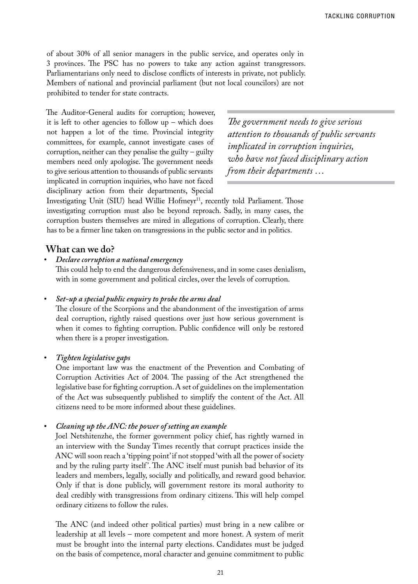of about 30% of all senior managers in the public service, and operates only in 3 provinces. The PSC has no powers to take any action against transgressors. Parliamentarians only need to disclose conflicts of interests in private, not publicly. Members of national and provincial parliament (but not local councilors) are not prohibited to tender for state contracts.

The Auditor-General audits for corruption; however, it is left to other agencies to follow  $up$  – which does not happen a lot of the time. Provincial integrity committees, for example, cannot investigate cases of corruption, neither can they penalise the guilty – guilty members need only apologise. The government needs to give serious attention to thousands of public servants implicated in corruption inquiries, who have not faced disciplinary action from their departments, Special

*The government needs to give serious attention to thousands of public servants implicated in corruption inquiries, who have not faced disciplinary action from their departments …*

Investigating Unit (SIU) head Willie Hofmeyr<sup>11</sup>, recently told Parliament. Those investigating corruption must also be beyond reproach. Sadly, in many cases, the corruption busters themselves are mired in allegations of corruption. Clearly, there has to be a firmer line taken on transgressions in the public sector and in politics.

## **What can we do?**

*• Declare corruption a national emergency*

This could help to end the dangerous defensiveness, and in some cases denialism, with in some government and political circles, over the levels of corruption.

#### *• Set-up a special public enquiry to probe the arms deal*

The closure of the Scorpions and the abandonment of the investigation of arms deal corruption, rightly raised questions over just how serious government is when it comes to fighting corruption. Public confidence will only be restored when there is a proper investigation.

#### *• Tighten legislative gaps*

One important law was the enactment of the Prevention and Combating of Corruption Activities Act of 2004. The passing of the Act strengthened the legislative base for fighting corruption. A set of guidelines on the implementation of the Act was subsequently published to simplify the content of the Act. All citizens need to be more informed about these guidelines.

*• Cleaning up the ANC: the power of setting an example*

Joel Netshitenzhe, the former government policy chief, has rightly warned in an interview with the Sunday Times recently that corrupt practices inside the ANC will soon reach a 'tipping point' if not stopped 'with all the power of society and by the ruling party itself'. The ANC itself must punish bad behavior of its leaders and members, legally, socially and politically, and reward good behavior. Only if that is done publicly, will government restore its moral authority to deal credibly with transgressions from ordinary citizens. This will help compel ordinary citizens to follow the rules.

The ANC (and indeed other political parties) must bring in a new calibre or leadership at all levels – more competent and more honest. A system of merit must be brought into the internal party elections. Candidates must be judged on the basis of competence, moral character and genuine commitment to public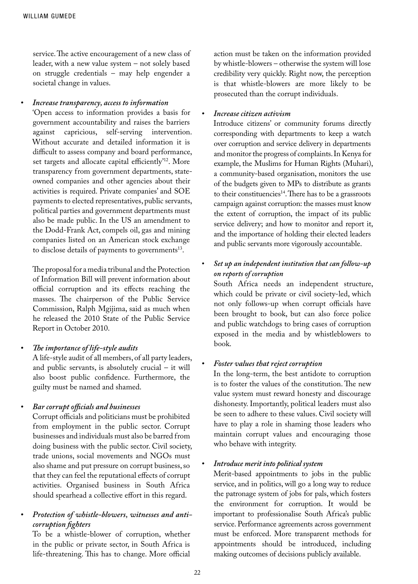service. The active encouragement of a new class of leader, with a new value system – not solely based on struggle credentials – may help engender a societal change in values.

#### *• Increase transparency, access to information*

'Open access to information provides a basis for government accountability and raises the barriers against capricious, self-serving intervention. Without accurate and detailed information it is difficult to assess company and board performance, set targets and allocate capital efficiently<sup>'12</sup>. More transparency from government departments, stateowned companies and other agencies about their activities is required. Private companies' and SOE payments to elected representatives, public servants, political parties and government departments must also be made public. In the US an amendment to the Dodd-Frank Act, compels oil, gas and mining companies listed on an American stock exchange to disclose details of payments to governments<sup>13</sup>.

The proposal for a media tribunal and the Protection of Information Bill will prevent information about official corruption and its effects reaching the masses. The chairperson of the Public Service Commission, Ralph Mgijima, said as much when he released the 2010 State of the Public Service Report in October 2010.

#### *• The importance of life-style audits*

A life-style audit of all members, of all party leaders, and public servants, is absolutely crucial – it will also boost public confidence. Furthermore, the guilty must be named and shamed.

#### *• Bar corrupt officials and businesses*

Corrupt officials and politicians must be prohibited from employment in the public sector. Corrupt businesses and individuals must also be barred from doing business with the public sector. Civil society, trade unions, social movements and NGOs must also shame and put pressure on corrupt business, so that they can feel the reputational effects of corrupt activities. Organised business in South Africa should spearhead a collective effort in this regard.

## *• Protection of whistle-blowers, witnesses and anticorruption fighters*

To be a whistle-blower of corruption, whether in the public or private sector, in South Africa is life-threatening. This has to change. More official

action must be taken on the information provided by whistle-blowers – otherwise the system will lose credibility very quickly. Right now, the perception is that whistle-blowers are more likely to be prosecuted than the corrupt individuals.

#### *• Increase citizen activism*

Introduce citizens' or community forums directly corresponding with departments to keep a watch over corruption and service delivery in departments and monitor the progress of complaints. In Kenya for example, the Muslims for Human Rights (Muhari), a community-based organisation, monitors the use of the budgets given to MPs to distribute as grants to their constituencies<sup>14</sup>. There has to be a grassroots campaign against corruption: the masses must know the extent of corruption, the impact of its public service delivery; and how to monitor and report it, and the importance of holding their elected leaders and public servants more vigorously accountable.

## *• Set up an independent institution that can follow-up on reports of corruption*

South Africa needs an independent structure, which could be private or civil society-led, which not only follows-up when corrupt officials have been brought to book, but can also force police and public watchdogs to bring cases of corruption exposed in the media and by whistleblowers to book.

#### *• Foster values that reject corruption*

In the long-term, the best antidote to corruption is to foster the values of the constitution. The new value system must reward honesty and discourage dishonesty. Importantly, political leaders must also be seen to adhere to these values. Civil society will have to play a role in shaming those leaders who maintain corrupt values and encouraging those who behave with integrity.

#### *• Introduce merit into political system*

Merit-based appointments to jobs in the public service, and in politics, will go a long way to reduce the patronage system of jobs for pals, which fosters the environment for corruption. It would be important to professionalise South Africa's public service. Performance agreements across government must be enforced. More transparent methods for appointments should be introduced, including making outcomes of decisions publicly available.